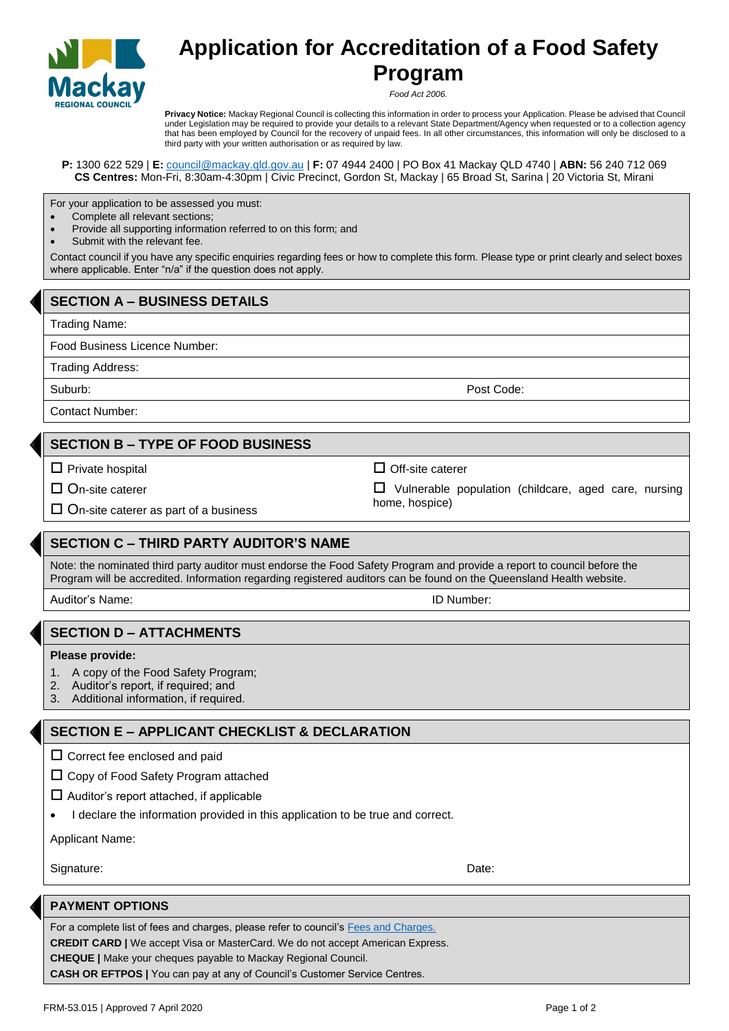

# **Application for Accreditation of a Food Safety Program**

*Food Act 2006.*

**Privacy Notice:** Mackay Regional Council is collecting this information in order to process your Application. Please be advised that Council under Legislation may be required to provide your details to a relevant State Department/Agency when requested or to a collection agency that has been employed by Council for the recovery of unpaid fees. In all other circumstances, this information will only be disclosed to a third party with your written authorisation or as required by law.

**P:** 1300 622 529 | **E:** [council@mackay.qld.gov.au](mailto:council@mackay.qld.gov.au) | **F:** 07 4944 2400 | PO Box 41 Mackay QLD 4740 | **ABN:** 56 240 712 069 **CS Centres:** Mon-Fri, 8:30am-4:30pm | Civic Precinct, Gordon St, Mackay | 65 Broad St, Sarina | 20 Victoria St, Mirani

For your application to be assessed you must:

- Complete all relevant sections;
- Provide all supporting information referred to on this form; and
- Submit with the relevant fee.

Contact council if you have any specific enquiries regarding fees or how to complete this form. Please type or print clearly and select boxes where applicable. Enter "n/a" if the question does not apply.

## **SECTION A – BUSINESS DETAILS**

Trading Name:

Food Business Licence Number:

Trading Address:

Suburb: Post Code: Post Code: Post Code: Post Code: Post Code: Post Code: Post Code: Post Code: Post Code: Post Code: Post Code: Post Code: Post Code: Post Code: Post Code: Post Code: Post Code: Post Code: Post Code: Post

Contact Number:

#### **SECTION B – TYPE OF FOOD BUSINESS**

 $\square$  Private hospital

□ On-site caterer

 $\Box$  Off-site caterer

 $\square$  On-site caterer as part of a business

### **SECTION C – THIRD PARTY AUDITOR'S NAME**

Note: the nominated third party auditor must endorse the Food Safety Program and provide a report to council before the Program will be accredited. Information regarding registered auditors can be found on the Queensland Health website.

Auditor's Name: ID Number:

### **SECTION D – ATTACHMENTS**

#### **Please provide:**

- 1. A copy of the Food Safety Program;
- 2. Auditor's report, if required; and
- 3. Additional information, if required.

### **SECTION E – APPLICANT CHECKLIST & DECLARATION**

 $\square$  Correct fee enclosed and paid

 $\Box$  Copy of Food Safety Program attached

- $\Box$  Auditor's report attached, if applicable
- I declare the information provided in this application to be true and correct.

Applicant Name:

Signature: Date: Date: Date: Date: Date: Date: Date: Date: Date: Date: Date: Date: Date: Date: Date: Date: Date: Date: Date: Date: Date: Date: Date: Date: Date: Date: Date: Date: Date: Date: Date: Date: Date: Date: Date: D

#### **PAYMENT OPTIONS**

For a complete list of fees and charges, please refer to council's [Fees and Charges.](http://www.mackay.qld.gov.au/about_council/policies_and_fees/fees_and_charges) **CREDIT CARD |** We accept Visa or MasterCard. We do not accept American Express. **CHEQUE |** Make your cheques payable to Mackay Regional Council. **CASH OR EFTPOS |** You can pay at any of Council's Customer Service Centres.

 $\Box$  Vulnerable population (childcare, aged care, nursing home, hospice)